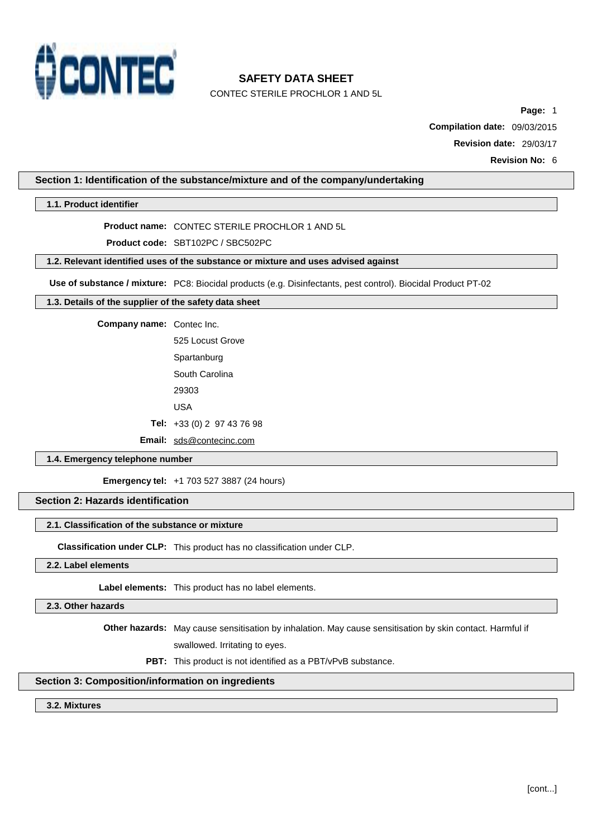

CONTEC STERILE PROCHLOR 1 AND 5L

**Page:** 1

**Compilation date:** 09/03/2015

**Revision date:** 29/03/17

**Revision No:** 6

## **Section 1: Identification of the substance/mixture and of the company/undertaking**

## **1.1. Product identifier**

**Product name:** CONTEC STERILE PROCHLOR 1 AND 5L

**Product code:** SBT102PC / SBC502PC

### **1.2. Relevant identified uses of the substance or mixture and uses advised against**

**Use of substance / mixture:** PC8: Biocidal products (e.g. Disinfectants, pest control). Biocidal Product PT-02

## **1.3. Details of the supplier of the safety data sheet**

**Company name:** Contec Inc.

525 Locust Grove **Spartanburg** South Carolina 29303 USA

**Tel:** +33 (0) 2 97 43 76 98

**Email:** [sds@contecinc.com](mailto:sds@contecinc.com)

### **1.4. Emergency telephone number**

**Emergency tel:** +1 703 527 3887 (24 hours)

## **Section 2: Hazards identification**

#### **2.1. Classification of the substance or mixture**

**Classification under CLP:** This product has no classification under CLP.

## **2.2. Label elements**

**Label elements:** This product has no label elements.

### **2.3. Other hazards**

**Other hazards:** May cause sensitisation by inhalation. May cause sensitisation by skin contact. Harmful if

swallowed. Irritating to eyes.

**PBT:** This product is not identified as a PBT/vPvB substance.

### **Section 3: Composition/information on ingredients**

### **3.2. Mixtures**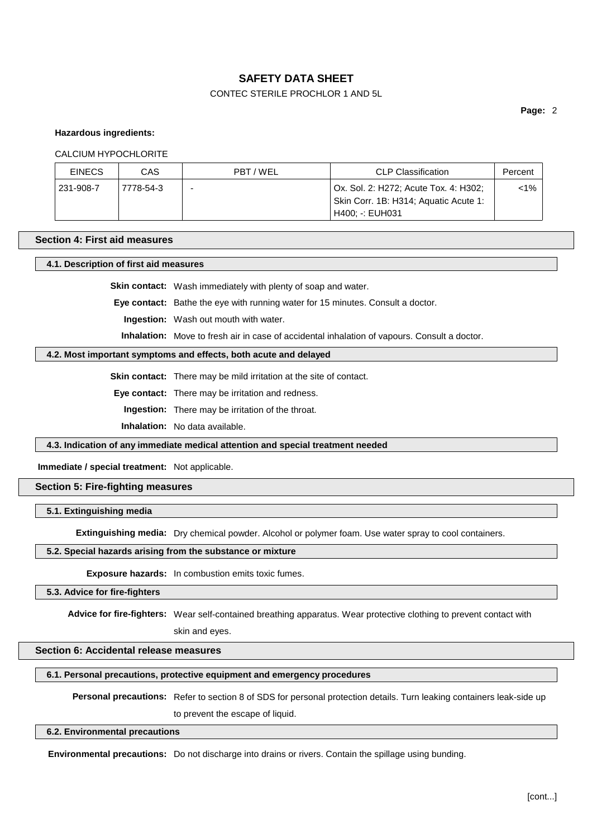## CONTEC STERILE PROCHLOR 1 AND 5L

**Page:** 2

#### **Hazardous ingredients:**

#### CALCIUM HYPOCHLORITE

| <b>EINECS</b> | CAS       | PBT/WEL | <b>CLP Classification</b>                                                      | Percent |
|---------------|-----------|---------|--------------------------------------------------------------------------------|---------|
| 231-908-7     | 7778-54-3 | -       | Ox. Sol. 2: H272; Acute Tox. 4: H302;<br>Skin Corr. 1B: H314; Aquatic Acute 1: | <1%     |
|               |           |         | H400: -: EUH031                                                                |         |

#### **Section 4: First aid measures**

## **4.1. Description of first aid measures**

**Skin contact:** Wash immediately with plenty of soap and water.

**Eye contact:** Bathe the eye with running water for 15 minutes. Consult a doctor.

**Ingestion:** Wash out mouth with water.

**Inhalation:** Move to fresh air in case of accidental inhalation of vapours. Consult a doctor.

#### **4.2. Most important symptoms and effects, both acute and delayed**

**Skin contact:** There may be mild irritation at the site of contact.

**Eye contact:** There may be irritation and redness.

**Ingestion:** There may be irritation of the throat.

**Inhalation:** No data available.

**4.3. Indication of any immediate medical attention and special treatment needed**

## **Immediate / special treatment:** Not applicable.

## **Section 5: Fire-fighting measures**

#### **5.1. Extinguishing media**

**Extinguishing media:** Dry chemical powder. Alcohol or polymer foam. Use water spray to cool containers.

## **5.2. Special hazards arising from the substance or mixture**

**Exposure hazards:** In combustion emits toxic fumes.

## **5.3. Advice for fire-fighters**

**Advice for fire-fighters:** Wear self-contained breathing apparatus. Wear protective clothing to prevent contact with

skin and eyes.

## **Section 6: Accidental release measures**

### **6.1. Personal precautions, protective equipment and emergency procedures**

**Personal precautions:** Refer to section 8 of SDS for personal protection details. Turn leaking containers leak-side up

to prevent the escape of liquid.

#### **6.2. Environmental precautions**

**Environmental precautions:** Do not discharge into drains or rivers. Contain the spillage using bunding.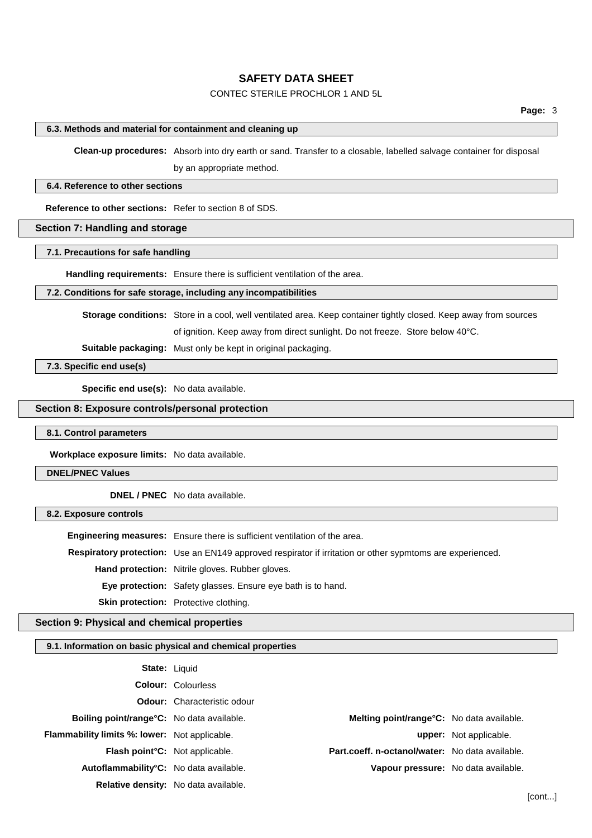## CONTEC STERILE PROCHLOR 1 AND 5L

### **6.3. Methods and material for containment and cleaning up**

**Clean-up procedures:** Absorb into dry earth or sand. Transfer to a closable, labelled salvage container for disposal by an appropriate method.

#### **6.4. Reference to other sections**

**Reference to other sections:** Refer to section 8 of SDS.

## **Section 7: Handling and storage**

#### **7.1. Precautions for safe handling**

**Handling requirements:** Ensure there is sufficient ventilation of the area.

#### **7.2. Conditions for safe storage, including any incompatibilities**

**Storage conditions:** Store in a cool, well ventilated area. Keep container tightly closed. Keep away from sources

of ignition. Keep away from direct sunlight. Do not freeze. Store below 40°C.

**Suitable packaging:** Must only be kept in original packaging.

**7.3. Specific end use(s)**

**Specific end use(s):** No data available.

## **Section 8: Exposure controls/personal protection**

#### **8.1. Control parameters**

**Workplace exposure limits:** No data available.

#### **DNEL/PNEC Values**

**DNEL / PNEC** No data available.

#### **8.2. Exposure controls**

**Engineering measures:** Ensure there is sufficient ventilation of the area. **Respiratory protection:** Use an EN149 approved respirator if irritation or other sypmtoms are experienced. **Hand protection:** Nitrile gloves. Rubber gloves. **Eye protection:** Safety glasses. Ensure eye bath is to hand. **Skin protection:** Protective clothing.

## **Section 9: Physical and chemical properties**

#### **9.1. Information on basic physical and chemical properties**

| <b>State: Liquid</b>                                 |                                    |                                                   |                               |
|------------------------------------------------------|------------------------------------|---------------------------------------------------|-------------------------------|
|                                                      | <b>Colour: Colourless</b>          |                                                   |                               |
|                                                      | <b>Odour:</b> Characteristic odour |                                                   |                               |
| <b>Boiling point/range °C:</b> No data available.    |                                    | <b>Melting point/range °C:</b> No data available. |                               |
| <b>Flammability limits %: lower:</b> Not applicable. |                                    |                                                   | <b>upper:</b> Not applicable. |
| Flash point <sup>°</sup> C: Not applicable.          |                                    | Part.coeff. n-octanol/water: No data available.   |                               |
| Autoflammability°C: No data available.               |                                    | Vapour pressure: No data available.               |                               |
| <b>Relative density:</b> No data available.          |                                    |                                                   |                               |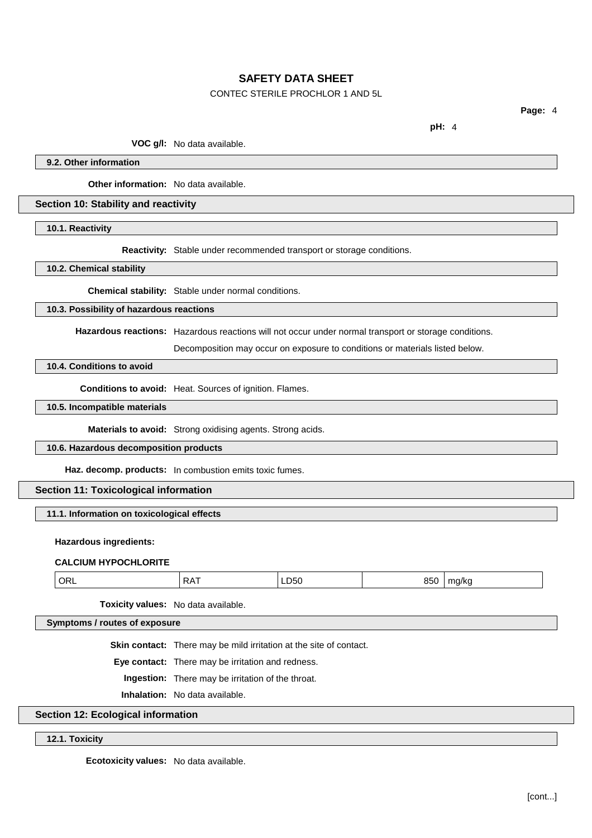## CONTEC STERILE PROCHLOR 1 AND 5L

**Page:** 4

**pH:** 4

**VOC g/l:** No data available.

**9.2. Other information**

**Other information:** No data available.

### **Section 10: Stability and reactivity**

**10.1. Reactivity**

**Reactivity:** Stable under recommended transport or storage conditions.

**10.2. Chemical stability**

**Chemical stability:** Stable under normal conditions.

## **10.3. Possibility of hazardous reactions**

**Hazardous reactions:** Hazardous reactions will not occur under normal transport or storage conditions.

Decomposition may occur on exposure to conditions or materials listed below.

## **10.4. Conditions to avoid**

**Conditions to avoid:** Heat. Sources of ignition. Flames.

## **10.5. Incompatible materials**

**Materials to avoid:** Strong oxidising agents. Strong acids.

## **10.6. Hazardous decomposition products**

**Haz. decomp. products:** In combustion emits toxic fumes.

## **Section 11: Toxicological information**

## **11.1. Information on toxicological effects**

### **Hazardous ingredients:**

### **CALCIUM HYPOCHLORITE**

| OR<br>∽∧ پ<br>850<br>ma/ka<br>LD50<br>$\sim$<br>. |
|---------------------------------------------------|
|---------------------------------------------------|

**Toxicity values:** No data available.

**Symptoms / routes of exposure**

**Skin contact:** There may be mild irritation at the site of contact.

**Eye contact:** There may be irritation and redness.

**Ingestion:** There may be irritation of the throat.

**Inhalation:** No data available.

## **Section 12: Ecological information**

### **12.1. Toxicity**

**Ecotoxicity values:** No data available.